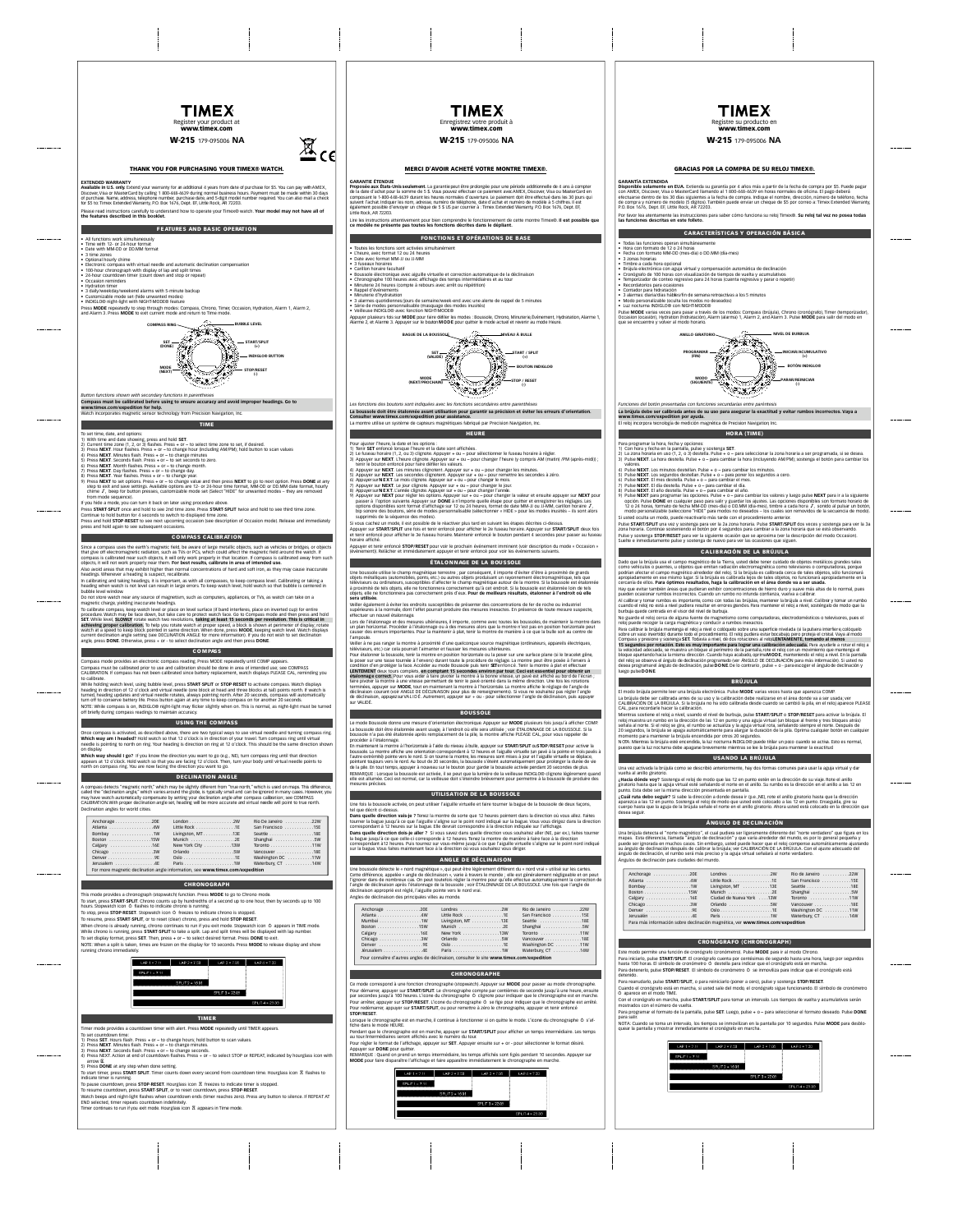

www.timex.com W-215 179-095006 **NA**



## THANK YOU FOR PURCHASING YOUR TIMEX® WATCH.

**EXTENDED WARRANTY** Available in U.S. only. Extend your warranty for an additional 4 years from date of purchase for \$5. You can pay with AMEX,<br>Discover, Visa or Master Card by calling 1 800-448-4639 during normal business hours. Payment must for \$5 to:Timex Extended Warranty, P.O. Box 1576, D. E. extended Warranty, P.O. Box 1676. Durant Please read instructions carefully to understand how to operate your Timex® watch. **Your model may not have all of the features described in this booklet.**

### **FEATURES AND BASIC OPER**

• All functions work simultaneously • Time with 12- or 24-hour format

- 
- Date with MM-DD or DD.MM format 3 time zones Optional hourly chime
- Electronic compass with virtual needle and automatic declination compensation 100-hour chronograph with display of lap and split times 24-hour countdown timer (count down and stop or repeat)
- 
- 
- Occasion reminders<br>• Hydration timer<br>• 3 daily/weekday/weekend alarms with 5-minute backup<br>• Customizable mode set (hide unwanted modes)<br>• INDIGLO® night-light with NIGHT-MODE® feature
- 

Press **MODE** repeatedly to step through modes: Compass, Chrono, Timer, Occasion, Hydration, Alarm 1, Alarm 2, and Alarm 3. Press **MODE** to exit current mode and return to Time mode.

**COMPASS RING bubble LEVEL** )<br>/\* **SET START/SPLIT (DONE) (+) INDIGLO® BUTTON MODE STOP/RESET (NEXT)** کر کری

*Button functions shown with secondary functions in parentheses* **Compass must be calibrated before using to ensure accuracy and avoid improper headings. Go to www.timex.com/expedition for help.** Watch incorporates magnetic sensor technology from Precision Navigation, Inc.

# T I M E

- To set time, date, and options:
- 
- 
- 
- 
- 
- 1) With time and date showing, press and hold SET. In select time a zone to set, if desired.<br>2) Press NEXT. How fishes a car-is to change minutes<br>2) Press NEXT. More thanks from the case a car-is change minutes<br>2) Press NE
- 

Press **START·SPLIT** once and hold to see 2nd time zone. Press **START·SPLIT** twice and hold to see third time zone. Continuence,<br>Continue to the same<br>to second for displayed to the form Press and hold **STOP·RESET** to see next upcoming occasion (see description of Occasion mode). Release and immediately

### press and hold again to see subsequent occasions.

S CALI

Since a compasse the earth's magnetic field, be aware of large metallic of large metallic or bridges, such as vehicles or bridges, such as vehicles or bridges, and the compassion of the earth of the earth of the earth of t that give off electromagnetic radiation, such as TVs or PCs, which could affect the magnetic field around the watch. If<br>compass is calibrated near such objects, it will only work properly in that location. If compass is ca objects, it will not work properly near them. **For best results, calibrate in area of intended use.** Also avoid areas that may exhibit higher than normal concentrations of hard and soft iron, as they may cause inaccurate headings. Whenever a heading is suspect, recalibrate.

In calibrating and taking headings, it is important, as with all compasses, to keep compass level. Calibrating or taking a heading when watch is not level can result in large errors. To keep watch level, hold watch so that bubble is centered in bubble level window.

Do not store watch near any source of magnetism, such as computers, appliances, or TVs, as watch can take on a magnetic charge, yielding inaccurate headings. To calibrate compass, keep watch level or place on level surface (if band interferes, place on inverted cup) for entire

procedure. Watch may be face down, but take care to protect watch face. Go to Compass mode and then press and hold **SET.** While level, **SLOWLY** rotate watch two revolutions, **taking at least 15 seconds per revolution. This is critical in achieving proper calibration.** To help you rotate watch at proper speed, a block is shown at perimeter of display; rotate watch at a speed to keep block pointed in same direction. When done, press **MODE**, keeping watch level. Watch displays current declination angle setting (see DECLINATION ANGLE for more information). If you do not wish to set declination angle, press **DONE**. Otherwise, press + or - to select declination angle and then press **DONE**.

### C O M PASS

ding. Press MODE repeatedly until COM Compass must be calibrated prior to use and calibration should be done in area of intended use; see COMPASS CALIBRATION. If compass has not been calibrated since battery replacement, watch displays PLEASE CAL, reminding you

to calibrate. While holding watch level, using bubble level, press **START·SPLIT** or **STOP·RESET** to activate compass. Watch displays heading in direction of 12 o'clock and virtual needle (one block at head and three blocks at tail) points north. If watch is turned, heading updates and virtual needle rotates, always pointing north. After 20 seconds, compass will automatically turn off to conserve battery life. Press button again at any time to keep compass on for another 20 seconds. NOTE: While compass is on, INDIGLO® night-light may flicker slightly when on. This is normal, as night-light must be turned off briefly during compass readings to maintain accuracy.

## USING THE COMPASS

Once compass is activated, as described above, there are two typical ways to use virtual needle and turning compass ring.<br>Which way am I headed? Hold watch so that 12 o'clock is in direction of your travel. Turn compass ri on display.

**Which way should I go?** If you know the direction you want to go (e.g., NE), turn compass ring until that direction appears at 12 o'clock. Hold watch so that you are facing 12 o'clock. Then, turn your body until virtual needle points to north on compass ring. You are now facing the direction you want to go. D E C L I N ATION ANGLE

A compass detects "magnetic north", which may be signify different from "tue north", "witch is used on maps. This difference, you<br>called the "distinsition arges" witch varies around the globe, is typically small and can be

|                                                                               |                   | Rin De Janeiro 22W |
|-------------------------------------------------------------------------------|-------------------|--------------------|
|                                                                               | Little Rock 1E    | San Francisco 15E  |
| Bombay 1W                                                                     | Livingston, MT13E | Seattle 18E        |
| Boston 15W                                                                    |                   |                    |
| Calgary 16E                                                                   | New York City 13W | Toronto 11W        |
| Chicago 3W                                                                    |                   | Vancouver 18E      |
|                                                                               |                   | Washington DC 11W  |
| Jerusalem 4E                                                                  |                   | Waterbury, CT 14W  |
| For more magnetic declination angle information, see www.timex.com/expedition |                   |                    |

This mode provides a chronograph istographic function. Peas MODE 0.<br>The mode provides a chronograph istographic function. Peas MODE to go to Chrono mode.<br>To star, press START SPUT, Chronocounts guy by tradications of a sec



## **TIMER**

Time mode provides a countidom in me with since these MoDE repeatedly until TMKR appears.<br>The recountdom times, the state of the state of the results of the state of the state of the state NGT and the<br>20 PHz NGT MATHEM SIG